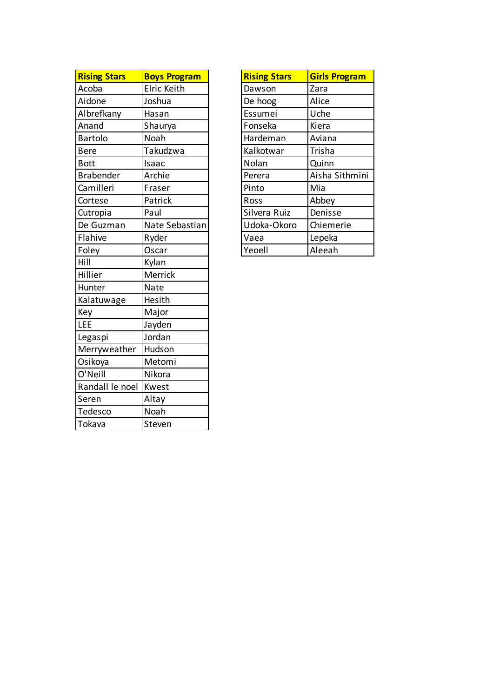| <b>Rising Stars</b> | <b>Boys Program</b> | <b>Rising Stars</b> | <b>Girls Program</b> |
|---------------------|---------------------|---------------------|----------------------|
| Acoba               | Elric Keith         | Dawson              | Zara                 |
| Aidone              | Joshua              | De hoog             | Alice                |
| Albrefkany          | Hasan               | Essumei             | Uche                 |
| Anand               | Shaurya             | Fonseka             | Kiera                |
| <b>Bartolo</b>      | Noah                | Hardeman            | Aviana               |
| <b>Bere</b>         | Takudzwa            | Kalkotwar           | Trisha               |
| <b>Bott</b>         | Isaac               | Nolan               | Quinn                |
| <b>Brabender</b>    | Archie              | Perera              | Aisha Sithmini       |
| Camilleri           | Fraser              | Pinto               | Mia                  |
| Cortese             | Patrick             | Ross                | Abbey                |
| Cutropia            | Paul                | Silvera Ruiz        | Denisse              |
| De Guzman           | Nate Sebastian      | Udoka-Okoro         | Chiemerie            |
| Flahive             | Ryder               | Vaea                | Lepeka               |
| Foley               | Oscar               | Yeoell              | Aleeah               |
| Hill                | Kylan               |                     |                      |
| Hillier             | Merrick             |                     |                      |
| Hunter              | Nate                |                     |                      |
| Kalatuwage          | Hesith              |                     |                      |
| Key                 | Major               |                     |                      |
| <b>LEE</b>          | Jayden              |                     |                      |
| Legaspi             | Jordan              |                     |                      |
| Merryweather        | Hudson              |                     |                      |
| Osikoya             | Metomi              |                     |                      |
| O'Neill             | Nikora              |                     |                      |
| Randall le noel     | Kwest               |                     |                      |
| Seren               | Altay               |                     |                      |
| Tedesco             | Noah                |                     |                      |
| Tokava              | Steven              |                     |                      |

| <b>Rising Stars</b> | <b>Girls Program</b> |
|---------------------|----------------------|
| Dawson              | Zara                 |
| De hoog             | Alice                |
| Essumei             | Uche                 |
| Fonseka             | Kiera                |
| Hardeman            | Aviana               |
| Kalkotwar           | Trisha               |
| Nolan               | Quinn                |
| Perera              | Aisha Sithmini       |
| Pinto               | Mia                  |
| Ross                | Abbey                |
| Silvera Ruiz        | Denisse              |
| Udoka-Okoro         | Chiemerie            |
| Vaea                | Lepeka               |
| Yeoell              | Aleeah               |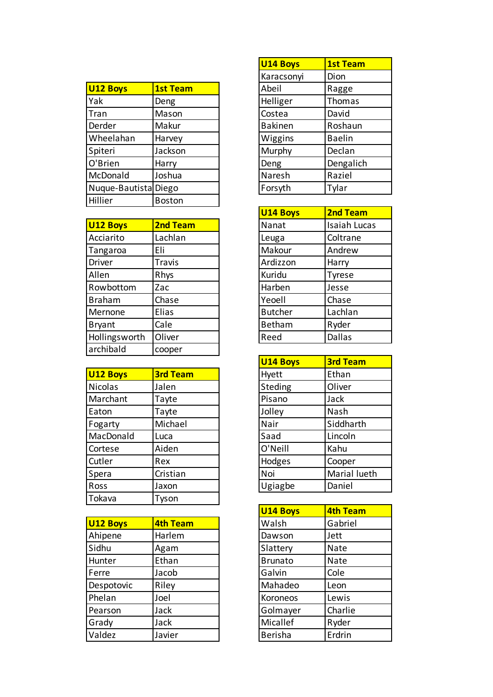| <b>U12 Boys</b>      | <b>1st Team</b> | Abeil          | Ragge         |
|----------------------|-----------------|----------------|---------------|
| Yak                  | Deng            | Helliger       | Thomas        |
| Tran                 | Mason           | Costea         | David         |
| Derder               | Makur           | <b>Bakinen</b> | Roshaun       |
| Wheelahan            | Harvey          | Wiggins        | <b>Baelin</b> |
| Spiteri              | Jackson         | Murphy         | Declan        |
| O'Brien              | Harry           | Deng           | Dengalich     |
| McDonald             | Joshua          | Naresh         | Raziel        |
| Nuque-Bautista Diego |                 | Forsyth        | Tylar         |
| Hillier              | <b>Boston</b>   |                |               |
|                      |                 |                |               |

| U12 Boys      | <b>2nd Team</b> | Nanat          | <b>Isaiah Lucas</b> |
|---------------|-----------------|----------------|---------------------|
| Acciarito     | Lachlan         | Leuga          | Coltrane            |
| Tangaroa      | Eli             | Makour         | Andrew              |
| Driver        | <b>Travis</b>   | Ardizzon       | Harry               |
| Allen         | Rhys            | Kuridu         | Tyrese              |
| Rowbottom     | Zac             | Harben         | Jesse               |
| <b>Braham</b> | Chase           | Yeoell         | Chase               |
| Mernone       | Elias           | <b>Butcher</b> | Lachlan             |
| <b>Bryant</b> | Cale            | Betham         | Ryder               |
| Hollingsworth | Oliver          | Reed           | Dallas              |
| archibald     | cooper          |                |                     |

| U12 Boys  | <b>3rd Team</b> | Hyett   | Ethan        |
|-----------|-----------------|---------|--------------|
| Nicolas   | Jalen           | Steding | Oliver       |
| Marchant  | Tayte           | Pisano  | Jack         |
| Eaton     | Tayte           | Jolley  | Nash         |
| Fogarty   | Michael         | Nair    | Siddharth    |
| MacDonald | Luca            | Saad    | Lincoln      |
| Cortese   | Aiden           | O'Neill | Kahu         |
| Cutler    | Rex             | Hodges  | Cooper       |
| Spera     | Cristian        | Noi     | Marial lueth |
| Ross      | Jaxon           | Ugiagbe | Daniel       |
| Tokava    | Tyson           |         |              |

| U12 Boys   | <b>4th Team</b> | Walsh          | Gabriel |
|------------|-----------------|----------------|---------|
| Ahipene    | Harlem          | Dawson         | Jett    |
| Sidhu      | Agam            | Slattery       | Nate    |
| Hunter     | Ethan           | <b>Brunato</b> | Nate    |
| Ferre      | Jacob           | Galvin         | Cole    |
| Despotovic | Riley           | Mahadeo        | Leon    |
| Phelan     | Joel            | Koroneos       | Lewis   |
| Pearson    | Jack            | Golmayer       | Charlie |
| Grady      | Jack            | Micallef       | Ryder   |
| Valdez     | Javier          | <b>Berisha</b> | Erdrin  |

| <b>U14 Boys</b> | <b>1st Team</b> |
|-----------------|-----------------|
| Karacsonyi      | Dion            |
| Abeil           | Ragge           |
| Helliger        | Thomas          |
| Costea          | David           |
| <b>Bakinen</b>  | Roshaun         |
| Wiggins         | <b>Baelin</b>   |
| Murphy          | Declan          |
| Deng            | Dengalich       |
| Naresh          | Raziel          |
| Forsyth         | Tylar           |

| <b>U14 Boys</b> | <b>2nd Team</b> |
|-----------------|-----------------|
| Nanat           | Isaiah Lucas    |
| Leuga           | Coltrane        |
| Makour          | Andrew          |
| Ardizzon        | Harry           |
| Kuridu          | <b>Tyrese</b>   |
| Harben          | Jesse           |
| Yeoell          | Chase           |
| <b>Butcher</b>  | Lachlan         |
| <b>Betham</b>   | Ryder           |
| Reed            | <b>Dallas</b>   |

| <b>U14 Boys</b> | <b>3rd Team</b> |
|-----------------|-----------------|
| Hyett           | Ethan           |
| Steding         | Oliver          |
| Pisano          | Jack            |
| Jolley          | Nash            |
| Nair            | Siddharth       |
| Saad            | Lincoln         |
| O'Neill         | Kahu            |
| Hodges          | Cooper          |
| Noi             | Marial lueth    |
| Ugiagbe         | Daniel          |

| U14 Boys       | <b>4th Team</b> |
|----------------|-----------------|
| Walsh          | Gabriel         |
| Dawson         | Jett            |
| Slattery       | Nate            |
| <b>Brunato</b> | Nate            |
| Galvin         | Cole            |
| Mahadeo        | Leon            |
| Koroneos       | Lewis           |
| Golmayer       | Charlie         |
| Micallef       | Ryder           |
| <b>Berisha</b> | Erdrin          |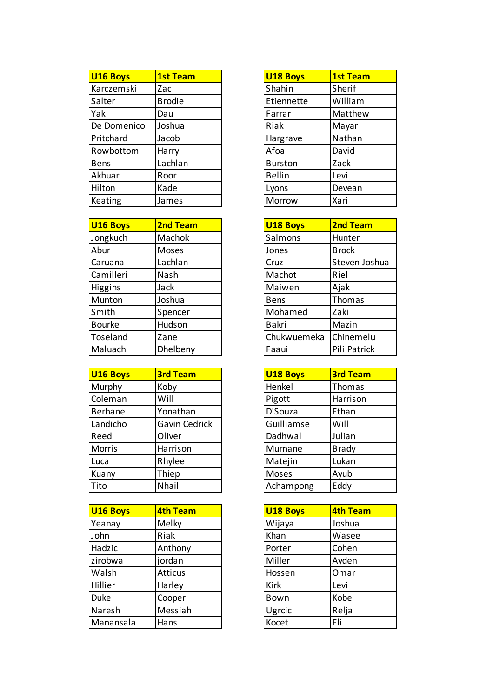| U <sub>16</sub> Boys | <b>1st Team</b> | <b>U18 Boys</b> | <b>1st Team</b> |
|----------------------|-----------------|-----------------|-----------------|
| Karczemski           | Zac             | Shahin          | Sherif          |
| Salter               | <b>Brodie</b>   | Etiennette      | William         |
| Yak                  | Dau             | Farrar          | Matthew         |
| De Domenico          | Joshua          | Riak            | Mayar           |
| Pritchard            | Jacob           | Hargrave        | Nathan          |
| Rowbottom            | Harry           | Afoa            | David           |
| <b>Bens</b>          | Lachlan         | <b>Burston</b>  | Zack            |
| Akhuar               | Roor            | <b>Bellin</b>   | Levi            |
| Hilton               | Kade            | Lyons           | Devean          |
| Keating              | James           | Morrow          | Xari            |

| U <sub>16</sub> Boys | <b>2nd Team</b> | <b>U18 Boys</b> | <b>2nd Team</b> |
|----------------------|-----------------|-----------------|-----------------|
| Jongkuch             | <b>Machok</b>   | Salmons         | Hunter          |
| Abur                 | Moses           | Jones           | <b>Brock</b>    |
| Caruana              | Lachlan         | Cruz            | Steven Joshua   |
| Camilleri            | Nash            | Machot          | Riel            |
| <b>Higgins</b>       | Jack            | Maiwen          | Ajak            |
| Munton               | Joshua          | <b>Bens</b>     | Thomas          |
| Smith                | Spencer         | Mohamed         | Zaki            |
| <b>Bourke</b>        | Hudson          | <b>Bakri</b>    | Mazin           |
| Toseland             | Zane            | Chukwuemeka     | Chinemelu       |
| Maluach              | Dhelbeny        | Faaui           | Pili Patrick    |

| <b>U16 Boys</b> | <b>3rd Team</b> | <b>U18 Boys</b> | <b>3rd Team</b> |
|-----------------|-----------------|-----------------|-----------------|
| Murphy          | Koby            | Henkel          | Thomas          |
| Coleman         | Will            | Pigott          | Harrison        |
| <b>Berhane</b>  | Yonathan        | D'Souza         | Ethan           |
| Landicho        | Gavin Cedrick   | Guilliamse      | Will            |
| Reed            | Oliver          | Dadhwal         | Julian          |
| <b>Morris</b>   | Harrison        | Murnane         | <b>Brady</b>    |
| Luca            | Rhylee          | Matejin         | Lukan           |
| Kuany           | Thiep           | Moses           | Ayub            |
| Tito            | Nhail           | Achampong       | Eddy            |

| U <sub>16</sub> Boys | <b>4th Team</b> | <b>U18 Boys</b> | <b>4th Team</b> |
|----------------------|-----------------|-----------------|-----------------|
| Yeanay               | Melky           | Wijaya          | Joshua          |
| John                 | Riak            | Khan            | Wasee           |
| Hadzic               | Anthony         | Porter          | Cohen           |
| zirobwa              | jordan          | Miller          | Ayden           |
| Walsh                | <b>Atticus</b>  | Hossen          | Omar            |
| Hillier              | Harley          | <b>Kirk</b>     | Levi            |
| <b>Duke</b>          | Cooper          | Bown            | Kobe            |
| Naresh               | Messiah         | Ugrcic          | Relja           |
| Manansala            | Hans            | Kocet           | Eli             |

| <b>U18 Boys</b> | <b>1st Team</b> |
|-----------------|-----------------|
| Shahin          | Sherif          |
| Etiennette      | William         |
| Farrar          | Matthew         |
| Riak            | Mayar           |
| Hargrave        | Nathan          |
| Afoa            | David           |
| <b>Burston</b>  | Zack            |
| <b>Bellin</b>   | Levi            |
| Lyons           | Devean          |
| Morrow          | Xari            |

| <b>U18 Boys</b> | <b>2nd Team</b> |
|-----------------|-----------------|
| Salmons         | Hunter          |
| Jones           | <b>Brock</b>    |
| Cruz            | Steven Joshua   |
| Machot          | Riel            |
| Maiwen          | Ajak            |
| Bens            | Thomas          |
| Mohamed         | Zaki            |
| <b>Bakri</b>    | Mazin           |
| Chukwuemeka     | Chinemelu       |
| Faaui           | Pili Patrick    |

| <b>U18 Boys</b> | <b>3rd Team</b> |
|-----------------|-----------------|
| Henkel          | Thomas          |
| Pigott          | Harrison        |
| D'Souza         | Ethan           |
| Guilliamse      | Will            |
| Dadhwal         | Julian          |
| Murnane         | <b>Brady</b>    |
| Matejin         | Lukan           |
| <b>Moses</b>    | Ayub            |
| Achampong       | Eddy            |

| <b>U18 Boys</b> | <b>4th Team</b> |
|-----------------|-----------------|
| Wijaya          | Joshua          |
| Khan            | Wasee           |
| Porter          | Cohen           |
| Miller          | Ayden           |
| Hossen          | Omar            |
| <b>Kirk</b>     | Levi            |
| Bown            | Kobe            |
| Ugrcic          | Relja           |
| Kocet           | Eli             |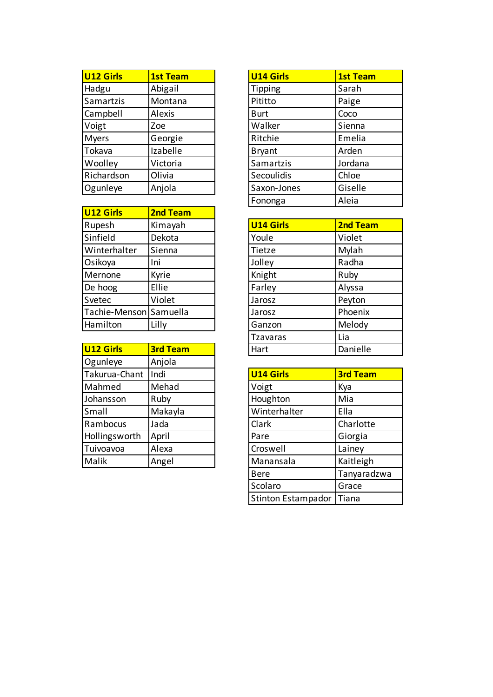| U <sub>12</sub> Girls | <b>1st Team</b> | U14 Girls     | <b>1st Team</b> |
|-----------------------|-----------------|---------------|-----------------|
| Hadgu                 | Abigail         | Tipping       | Sarah           |
| Samartzis             | Montana         | Pititto       | Paige           |
| Campbell              | Alexis          | <b>Burt</b>   | Coco            |
| Voigt                 | Zoe             | Walker        | Sienna          |
| <b>Myers</b>          | Georgie         | Ritchie       | Emelia          |
| Tokava                | Izabelle        | <b>Bryant</b> | Arden           |
| Woolley               | Victoria        | Samartzis     | Jordana         |
| Richardson            | Olivia          | Secoulidis    | Chloe           |
| Ogunleye              | Anjola          | Saxon-Jones   | Giselle         |
|                       |                 |               |                 |

| U12 Girls              | <b>2nd Team</b> |
|------------------------|-----------------|
| Rupesh                 | Kimayah         |
| Sinfield               | Dekota          |
| Winterhalter           | Sienna          |
| Osikoya                | Ini             |
| Mernone                | Kyrie           |
| De hoog                | Ellie           |
| Svetec                 | Violet          |
| Tachie-Menson Samuella |                 |
| Hamilton               | Lilly           |
|                        |                 |

| Hart             | Danielle        |
|------------------|-----------------|
|                  |                 |
| <b>U14 Girls</b> | <b>3rd Team</b> |
| Voigt            | Kya             |
| Houghton         | Mia             |
| Winterhalter     | Ella            |
| Clark            | Charlotte       |
| Pare             | Giorgia         |
| Croswell         | Lainey          |
| Manansala        | Kaitleigh       |
|                  |                 |

| <b>U14 Girls</b> | <b>1st Team</b> |
|------------------|-----------------|
| Tipping          | Sarah           |
| Pititto          | Paige           |
| Burt             | Coco            |
| Walker           | Sienna          |
| Ritchie          | Emelia          |
| <b>Bryant</b>    | Arden           |
| Samartzis        | Jordana         |
| Secoulidis       | Chloe           |
| Saxon-Jones      | Giselle         |
| Fononga          | Aleia           |

| U14 Girls       | 2nd Team |
|-----------------|----------|
| Youle           | Violet   |
| Tietze          | Mylah    |
| Jolley          | Radha    |
| Knight          | Ruby     |
| Farley          | Alyssa   |
| Jarosz          | Peyton   |
| Jarosz          | Phoenix  |
| Ganzon          | Melody   |
| <b>Tzavaras</b> | Lia      |
| Hart            | Danielle |

| <b>U14 Girls</b>          | <b>3rd Team</b> |
|---------------------------|-----------------|
| Voigt                     | Kya             |
| Houghton                  | Mia             |
| Winterhalter              | Ella            |
| Clark                     | Charlotte       |
| Pare                      | Giorgia         |
| Croswell                  | Lainey          |
| Manansala                 | Kaitleigh       |
| <b>Bere</b>               | Tanyaradzwa     |
| Scolaro                   | Grace           |
| <b>Stinton Estampador</b> | Tiana           |